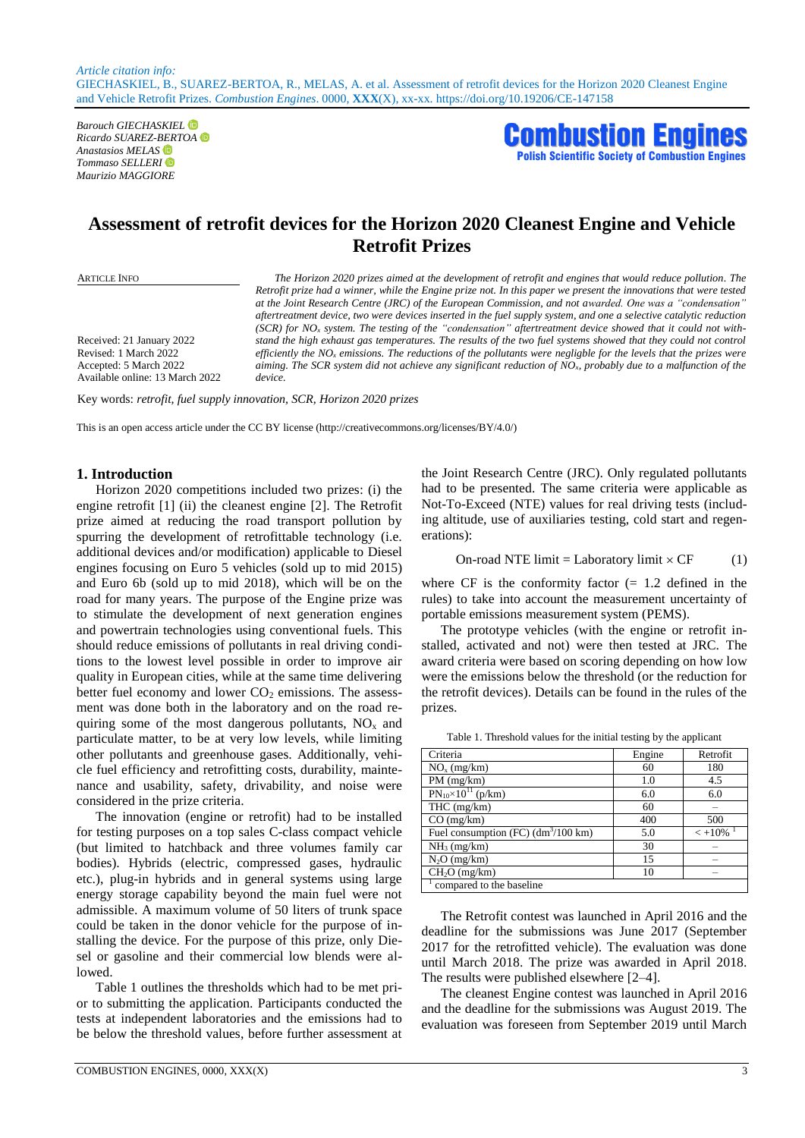*Barouch GIECHASKIEL Ricardo SUAREZ-BERTOA Anastasios MELAS Tommaso SELLERI Maurizio MAGGIORE* 



# **Assessment of retrofit devices for the Horizon 2020 Cleanest Engine and Vehicle Retrofit Prizes**

Received: 21 January 2022 Revised: 1 March 2022 Accepted: 5 March 2022 Available online: 13 March 2022

ARTICLE INFO *The Horizon 2020 prizes aimed at the development of retrofit and engines that would reduce pollution. The Retrofit prize had a winner, while the Engine prize not. In this paper we present the innovations that were tested at the Joint Research Centre (JRC) of the European Commission, and not awarded. One was a "condensation" aftertreatment device, two were devices inserted in the fuel supply system, and one a selective catalytic reduction (SCR) for NO<sup>x</sup> system. The testing of the "condensation" aftertreatment device showed that it could not withstand the high exhaust gas temperatures. The results of the two fuel systems showed that they could not control efficiently the NO<sup>x</sup> emissions. The reductions of the pollutants were negligble for the levels that the prizes were aiming. The SCR system did not achieve any significant reduction of NOx, probably due to a malfunction of the device.*

Key words: *retrofit, fuel supply innovation, SCR, Horizon 2020 prizes*

This is an open access article under the CC BY license (http://creativecommons.org/licenses/BY/4.0/)

## **1. Introduction**

Horizon 2020 competitions included two prizes: (i) the engine retrofit [1] (ii) the cleanest engine [2]. The Retrofit prize aimed at reducing the road transport pollution by spurring the development of retrofittable technology (i.e. additional devices and/or modification) applicable to Diesel engines focusing on Euro 5 vehicles (sold up to mid 2015) and Euro 6b (sold up to mid 2018), which will be on the road for many years. The purpose of the Engine prize was to stimulate the development of next generation engines and powertrain technologies using conventional fuels. This should reduce emissions of pollutants in real driving conditions to the lowest level possible in order to improve air quality in European cities, while at the same time delivering better fuel economy and lower  $CO<sub>2</sub>$  emissions. The assessment was done both in the laboratory and on the road requiring some of the most dangerous pollutants,  $NO<sub>x</sub>$  and particulate matter, to be at very low levels, while limiting other pollutants and greenhouse gases. Additionally, vehicle fuel efficiency and retrofitting costs, durability, maintenance and usability, safety, drivability, and noise were considered in the prize criteria.

The innovation (engine or retrofit) had to be installed for testing purposes on a top sales C-class compact vehicle (but limited to hatchback and three volumes family car bodies). Hybrids (electric, compressed gases, hydraulic etc.), plug-in hybrids and in general systems using large energy storage capability beyond the main fuel were not admissible. A maximum volume of 50 liters of trunk space could be taken in the donor vehicle for the purpose of installing the device. For the purpose of this prize, only Diesel or gasoline and their commercial low blends were allowed.

Table 1 outlines the thresholds which had to be met prior to submitting the application. Participants conducted the tests at independent laboratories and the emissions had to be below the threshold values, before further assessment at the Joint Research Centre (JRC). Only regulated pollutants had to be presented. The same criteria were applicable as Not-To-Exceed (NTE) values for real driving tests (including altitude, use of auxiliaries testing, cold start and regenerations):

On road NTE limit = Laboratory limit 
$$
\times
$$
 CF (1)

where  $CF$  is the conformity factor  $(= 1.2 \text{ defined in the})$ rules) to take into account the measurement uncertainty of portable emissions measurement system (PEMS).

The prototype vehicles (with the engine or retrofit installed, activated and not) were then tested at JRC. The award criteria were based on scoring depending on how low were the emissions below the threshold (or the reduction for the retrofit devices). Details can be found in the rules of the prizes.

| Criteria                                      | Engine | Retrofit |
|-----------------------------------------------|--------|----------|
| $NOx$ (mg/km)                                 | 60     | 180      |
| $PM$ (mg/km)                                  | 1.0    | 4.5      |
| $PN_{10} \times 10^{11}$ (p/km)               | 6.0    | 6.0      |
| $THC$ (mg/km)                                 | 60     |          |
| $CO$ (mg/km)                                  | 400    | 500      |
| Fuel consumption (FC) $(dm^3/100 \text{ km})$ | 5.0    | $< +10%$ |
| $NH3$ (mg/km)                                 | 30     |          |
| $N2O$ (mg/km)                                 | 15     |          |
| $\overline{CH_2O}$ (mg/km)                    | 10     | -        |
| compared to the baseline                      |        |          |

Table 1. Threshold values for the initial testing by the applicant

The Retrofit contest was launched in April 2016 and the deadline for the submissions was June 2017 (September 2017 for the retrofitted vehicle). The evaluation was done until March 2018. The prize was awarded in April 2018. The results were published elsewhere [2–4].

The cleanest Engine contest was launched in April 2016 and the deadline for the submissions was August 2019. The evaluation was foreseen from September 2019 until March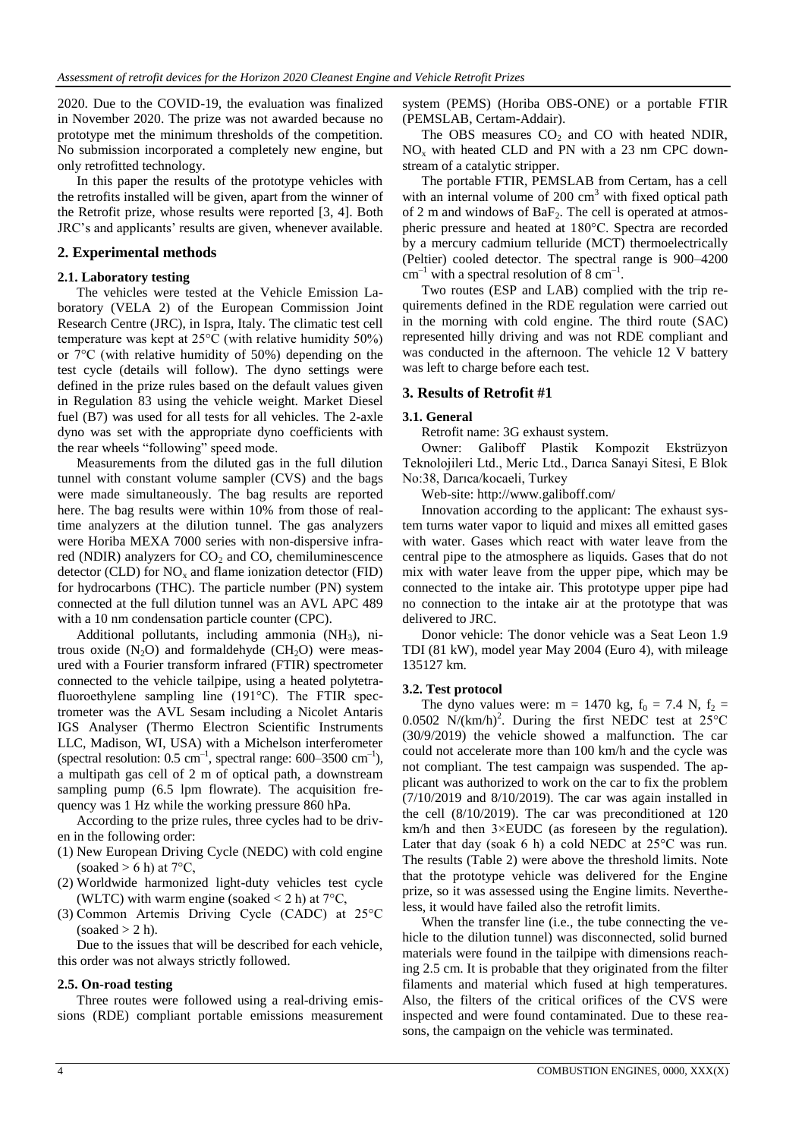2020. Due to the COVID-19, the evaluation was finalized in November 2020. The prize was not awarded because no prototype met the minimum thresholds of the competition. No submission incorporated a completely new engine, but only retrofitted technology.

In this paper the results of the prototype vehicles with the retrofits installed will be given, apart from the winner of the Retrofit prize, whose results were reported [3, 4]. Both JRC's and applicants' results are given, whenever available.

## **2. Experimental methods**

## **2.1. Laboratory testing**

The vehicles were tested at the Vehicle Emission Laboratory (VELA 2) of the European Commission Joint Research Centre (JRC), in Ispra, Italy. The climatic test cell temperature was kept at 25°C (with relative humidity 50%) or 7°C (with relative humidity of 50%) depending on the test cycle (details will follow). The dyno settings were defined in the prize rules based on the default values given in Regulation 83 using the vehicle weight. Market Diesel fuel (B7) was used for all tests for all vehicles. The 2-axle dyno was set with the appropriate dyno coefficients with the rear wheels "following" speed mode.

Measurements from the diluted gas in the full dilution tunnel with constant volume sampler (CVS) and the bags were made simultaneously. The bag results are reported here. The bag results were within 10% from those of realtime analyzers at the dilution tunnel. The gas analyzers were Horiba MEXA 7000 series with non-dispersive infrared (NDIR) analyzers for  $CO<sub>2</sub>$  and  $CO<sub>2</sub>$ , chemiluminescence detector (CLD) for  $NO_x$  and flame ionization detector (FID) for hydrocarbons (THC). The particle number (PN) system connected at the full dilution tunnel was an AVL APC 489 with a 10 nm condensation particle counter (CPC).

Additional pollutants, including ammonia  $(NH_3)$ , nitrous oxide  $(N_2O)$  and formaldehyde  $(CH_2O)$  were measured with a Fourier transform infrared (FTIR) spectrometer connected to the vehicle tailpipe, using a heated polytetrafluoroethylene sampling line (191°C). The FTIR spectrometer was the AVL Sesam including a Nicolet Antaris IGS Analyser (Thermo Electron Scientific Instruments LLC, Madison, WI, USA) with a Michelson interferometer (spectral resolution:  $0.5 \text{ cm}^{-1}$ , spectral range:  $600-3500 \text{ cm}^{-1}$ ), a multipath gas cell of 2 m of optical path, a downstream sampling pump (6.5 lpm flowrate). The acquisition frequency was 1 Hz while the working pressure 860 hPa.

According to the prize rules, three cycles had to be driven in the following order:

- (1) New European Driving Cycle (NEDC) with cold engine (soaked  $> 6$  h) at  $7^{\circ}$ C.
- (2) Worldwide harmonized light-duty vehicles test cycle (WLTC) with warm engine (soaked  $< 2$  h) at  $7^{\circ}$ C,
- (3) Common Artemis Driving Cycle (CADC) at 25°C  $(soaked > 2 h)$ .

Due to the issues that will be described for each vehicle, this order was not always strictly followed.

# **2.5. On-road testing**

Three routes were followed using a real-driving emissions (RDE) compliant portable emissions measurement system (PEMS) (Horiba OBS-ONE) or a portable FTIR (PEMSLAB, Certam-Addair).

The OBS measures  $CO<sub>2</sub>$  and CO with heated NDIR,  $NO<sub>x</sub>$  with heated CLD and PN with a 23 nm CPC downstream of a catalytic stripper.

The portable FTIR, PEMSLAB from Certam, has a cell with an internal volume of  $200 \text{ cm}^3$  with fixed optical path of 2 m and windows of  $BaF_2$ . The cell is operated at atmospheric pressure and heated at 180°C. Spectra are recorded by a mercury cadmium telluride (MCT) thermoelectrically (Peltier) cooled detector. The spectral range is 900–4200  $cm^{-1}$  with a spectral resolution of 8  $cm^{-1}$ .

Two routes (ESP and LAB) complied with the trip requirements defined in the RDE regulation were carried out in the morning with cold engine. The third route (SAC) represented hilly driving and was not RDE compliant and was conducted in the afternoon. The vehicle 12 V battery was left to charge before each test.

## **3. Results of Retrofit #1**

## **3.1. General**

Retrofit name: 3G exhaust system.

Owner: Galiboff Plastik Kompozit Ekstrüzyon Teknolojileri Ltd., Meric Ltd., Darıca Sanayi Sitesi, E Blok No:38, Darıca/kocaeli, Turkey

Web-site: http://www.galiboff.com/

Innovation according to the applicant: The exhaust system turns water vapor to liquid and mixes all emitted gases with water. Gases which react with water leave from the central pipe to the atmosphere as liquids. Gases that do not mix with water leave from the upper pipe, which may be connected to the intake air. This prototype upper pipe had no connection to the intake air at the prototype that was delivered to JRC.

Donor vehicle: The donor vehicle was a Seat Leon 1.9 TDI (81 kW), model year May 2004 (Euro 4), with mileage 135127 km.

## **3.2. Test protocol**

The dyno values were: m = 1470 kg,  $f_0$  = 7.4 N,  $f_2$  = 0.0502 N/(km/h)<sup>2</sup>. During the first NEDC test at  $25^{\circ}$ C (30/9/2019) the vehicle showed a malfunction. The car could not accelerate more than 100 km/h and the cycle was not compliant. The test campaign was suspended. The applicant was authorized to work on the car to fix the problem (7/10/2019 and 8/10/2019). The car was again installed in the cell (8/10/2019). The car was preconditioned at 120 km/h and then 3×EUDC (as foreseen by the regulation). Later that day (soak 6 h) a cold NEDC at  $25^{\circ}$ C was run. The results (Table 2) were above the threshold limits. Note that the prototype vehicle was delivered for the Engine prize, so it was assessed using the Engine limits. Nevertheless, it would have failed also the retrofit limits.

When the transfer line (i.e., the tube connecting the vehicle to the dilution tunnel) was disconnected, solid burned materials were found in the tailpipe with dimensions reaching 2.5 cm. It is probable that they originated from the filter filaments and material which fused at high temperatures. Also, the filters of the critical orifices of the CVS were inspected and were found contaminated. Due to these reasons, the campaign on the vehicle was terminated.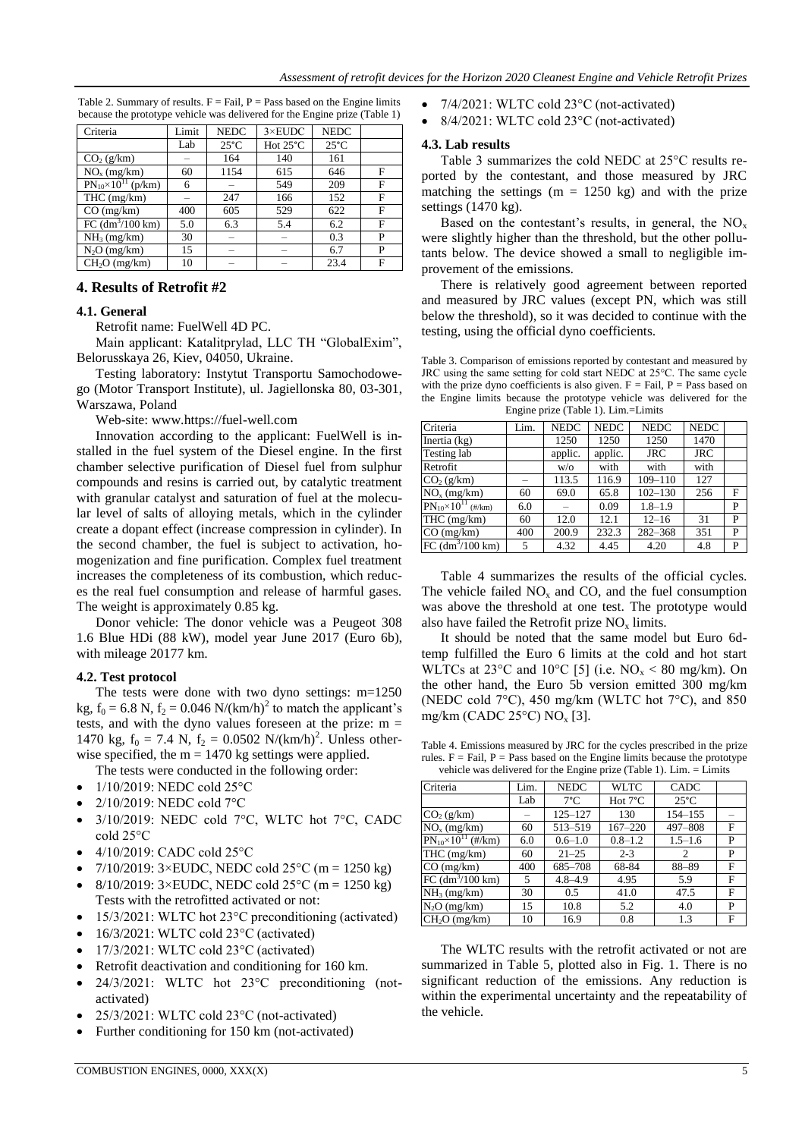Table 2. Summary of results.  $F = Fail$ ,  $P = Pass$  based on the Engine limits because the prototype vehicle was delivered for the Engine prize (Table 1)

| Criteria                        | Limit | <b>NEDC</b>    | $3 \times$ EUDC    | <b>NEDC</b>    |   |
|---------------------------------|-------|----------------|--------------------|----------------|---|
|                                 | Lab   | $25^{\circ}$ C | Hot $25^{\circ}$ C | $25^{\circ}$ C |   |
| CO <sub>2</sub> (g/km)          |       | 164            | 140                | 161            |   |
| $NOx$ (mg/km)                   | 60    | 1154           | 615                | 646            | F |
| $PN_{10} \times 10^{11}$ (p/km) | 6     | -              | 549                | 209            | F |
| $THC$ (mg/km)                   |       | 247            | 166                | 152            | F |
| CO (mg/km)                      | 400   | 605            | 529                | 622            | F |
| FC $(dm^3/100 \text{ km})$      | 5.0   | 6.3            | 5.4                | 6.2            | F |
| $NH3$ (mg/km)                   | 30    |                |                    | 0.3            | P |
| $N2O$ (mg/km)                   | 15    | -              | -                  | 6.7            | P |
| $CH2O$ (mg/km)                  | 10    |                |                    | 23.4           | F |

## **4. Results of Retrofit #2**

## **4.1. General**

Retrofit name: FuelWell 4D PC.

Main applicant: Katalitprylad, LLC TH "GlobalExim", Belorusskaya 26, Kiev, 04050, Ukraine.

Testing laboratory: Instytut Transportu Samochodowego (Motor Transport Institute), ul. Jagiellonska 80, 03-301, Warszawa, Poland

Web-site: www.https://fuel-well.com

Innovation according to the applicant: FuelWell is installed in the fuel system of the Diesel engine. In the first chamber selective purification of Diesel fuel from sulphur compounds and resins is carried out, by catalytic treatment with granular catalyst and saturation of fuel at the molecular level of salts of alloying metals, which in the cylinder create a dopant effect (increase compression in cylinder). In the second chamber, the fuel is subject to activation, homogenization and fine purification. Complex fuel treatment increases the completeness of its combustion, which reduces the real fuel consumption and release of harmful gases. The weight is approximately 0.85 kg.

Donor vehicle: The donor vehicle was a Peugeot 308 1.6 Blue HDi (88 kW), model year June 2017 (Euro 6b), with mileage 20177 km.

## **4.2. Test protocol**

The tests were done with two dyno settings: m=1250 kg,  $f_0 = 6.8$  N,  $f_2 = 0.046$  N/(km/h)<sup>2</sup> to match the applicant's tests, and with the dyno values foreseen at the prize:  $m =$ 1470 kg,  $f_0 = 7.4$  N,  $f_2 = 0.0502$  N/(km/h)<sup>2</sup>. Unless otherwise specified, the  $m = 1470$  kg settings were applied.

The tests were conducted in the following order:

- 1/10/2019: NEDC cold 25°C
- 2/10/2019: NEDC cold 7°C
- 3/10/2019: NEDC cold 7°C, WLTC hot 7°C, CADC cold 25°C
- 4/10/2019: CADC cold 25°C
- $7/10/2019$ :  $3 \times$ EUDC, NEDC cold  $25^{\circ}$ C (m = 1250 kg)
- 8/10/2019:  $3 \times$ EUDC, NEDC cold  $25^{\circ}$ C (m = 1250 kg) Tests with the retrofitted activated or not:
- 15/3/2021: WLTC hot 23<sup>o</sup>C preconditioning (activated)
- 16/3/2021: WLTC cold 23°C (activated)
- 17/3/2021: WLTC cold 23°C (activated)
- Retrofit deactivation and conditioning for 160 km.
- 24/3/2021: WLTC hot 23°C preconditioning (notactivated)
- 25/3/2021: WLTC cold 23°C (not-activated)
- Further conditioning for 150 km (not-activated)
- 7/4/2021: WLTC cold 23°C (not-activated)
- 8/4/2021: WLTC cold 23°C (not-activated)

## **4.3. Lab results**

Table 3 summarizes the cold NEDC at 25°C results reported by the contestant, and those measured by JRC matching the settings  $(m = 1250 \text{ kg})$  and with the prize settings (1470 kg).

Based on the contestant's results, in general, the  $NO<sub>x</sub>$ were slightly higher than the threshold, but the other pollutants below. The device showed a small to negligible improvement of the emissions.

There is relatively good agreement between reported and measured by JRC values (except PN, which was still below the threshold), so it was decided to continue with the testing, using the official dyno coefficients.

Table 3. Comparison of emissions reported by contestant and measured by JRC using the same setting for cold start NEDC at 25°C. The same cycle with the prize dyno coefficients is also given.  $F = Fail$ ,  $P = Pass$  based on the Engine limits because the prototype vehicle was delivered for the Engine prize (Table 1). Lim.=Limits

| Criteria                        | Lim. | <b>NEDC</b> | <b>NEDC</b> | <b>NEDC</b> | <b>NEDC</b> |   |
|---------------------------------|------|-------------|-------------|-------------|-------------|---|
| Inertia (kg)                    |      | 1250        | 1250        | 1250        | 1470        |   |
| Testing lab                     |      | applic.     | applic.     | <b>JRC</b>  | <b>JRC</b>  |   |
| Retrofit                        |      | W/O         | with        | with        | with        |   |
| CO <sub>2</sub> (g/km)          |      | 113.5       | 116.9       | $109 - 110$ | 127         |   |
| $NOx$ (mg/km)                   | 60   | 69.0        | 65.8        | $102 - 130$ | 256         | F |
| $PN_{10} \times 10^{11}$ (#/km) | 6.0  |             | 0.09        | $1.8 - 1.9$ |             | P |
| $\overline{\text{THC}}$ (mg/km) | 60   | 12.0        | 12.1        | $12 - 16$   | 31          | P |
| $CO$ (mg/km)                    | 400  | 200.9       | 232.3       | $282 - 368$ | 351         | P |
| FC $(dm^3/100 \text{ km})$      | 5.   | 4.32        | 4.45        | 4.20        | 4.8         | P |

Table 4 summarizes the results of the official cycles. The vehicle failed  $NO<sub>x</sub>$  and CO, and the fuel consumption was above the threshold at one test. The prototype would also have failed the Retrofit prize  $NO<sub>x</sub>$  limits.

It should be noted that the same model but Euro 6dtemp fulfilled the Euro 6 limits at the cold and hot start WLTCs at  $23^{\circ}$ C and  $10^{\circ}$ C [5] (i.e. NO<sub>x</sub> < 80 mg/km). On the other hand, the Euro 5b version emitted 300 mg/km (NEDC cold 7°C), 450 mg/km (WLTC hot 7°C), and 850 mg/km (CADC 25 $\rm ^{\circ}$ C) NO<sub>x</sub> [3].

Table 4. Emissions measured by JRC for the cycles prescribed in the prize rules.  $F = Fail$ ,  $P = Pass$  based on the Engine limits because the prototype vehicle was delivered for the Engine prize (Table 1). Lim.  $=$  Limits

| veniere was denvered for the $m_{\rm m}$ me $p_{\rm HEC}$ (Table 1). $m_{\rm H}$ . $ m_{\rm HHC}$ |      |               |                   |                |   |  |  |
|---------------------------------------------------------------------------------------------------|------|---------------|-------------------|----------------|---|--|--|
| Criteria                                                                                          | Lim. | <b>NEDC</b>   | <b>WLTC</b>       | <b>CADC</b>    |   |  |  |
|                                                                                                   | Lab  | $7^{\circ}$ C | Hot $7^{\circ}$ C | $25^{\circ}$ C |   |  |  |
| $CO$ <sub>2</sub> $(km)$                                                                          |      | 125–127       | 130               | 154-155        |   |  |  |
| $\overline{NO}_x$ (mg/km)                                                                         | 60   | 513-519       | $167 - 220$       | 497-808        | F |  |  |
| $PN_{10}\times 10^{11}$ (#/km)                                                                    | 6.0  | $0.6 - 1.0$   | $0.8 - 1.2$       | $1.5 - 1.6$    | P |  |  |
| $THC$ (mg/km)                                                                                     | 60   | $21 - 25$     | $2 - 3$           | 2              | P |  |  |
| $CO$ (mg/km)                                                                                      | 400  | 685-708       | 68-84             | 88-89          | F |  |  |
| FC $\left(\frac{dm^3}{100 \text{ km}}\right)$                                                     | 5    | $4.8 - 4.9$   | 4.95              | 5.9            | F |  |  |
| $NH3$ (mg/km)                                                                                     | 30   | 0.5           | 41.0              | 47.5           | F |  |  |
| $N_2O$ (mg/km)                                                                                    | 15   | 10.8          | 5.2               | 4.0            | P |  |  |
| $CH2O$ (mg/km)                                                                                    | 10   | 16.9          | 0.8               | 1.3            | F |  |  |

The WLTC results with the retrofit activated or not are summarized in Table 5, plotted also in Fig. 1. There is no significant reduction of the emissions. Any reduction is within the experimental uncertainty and the repeatability of the vehicle.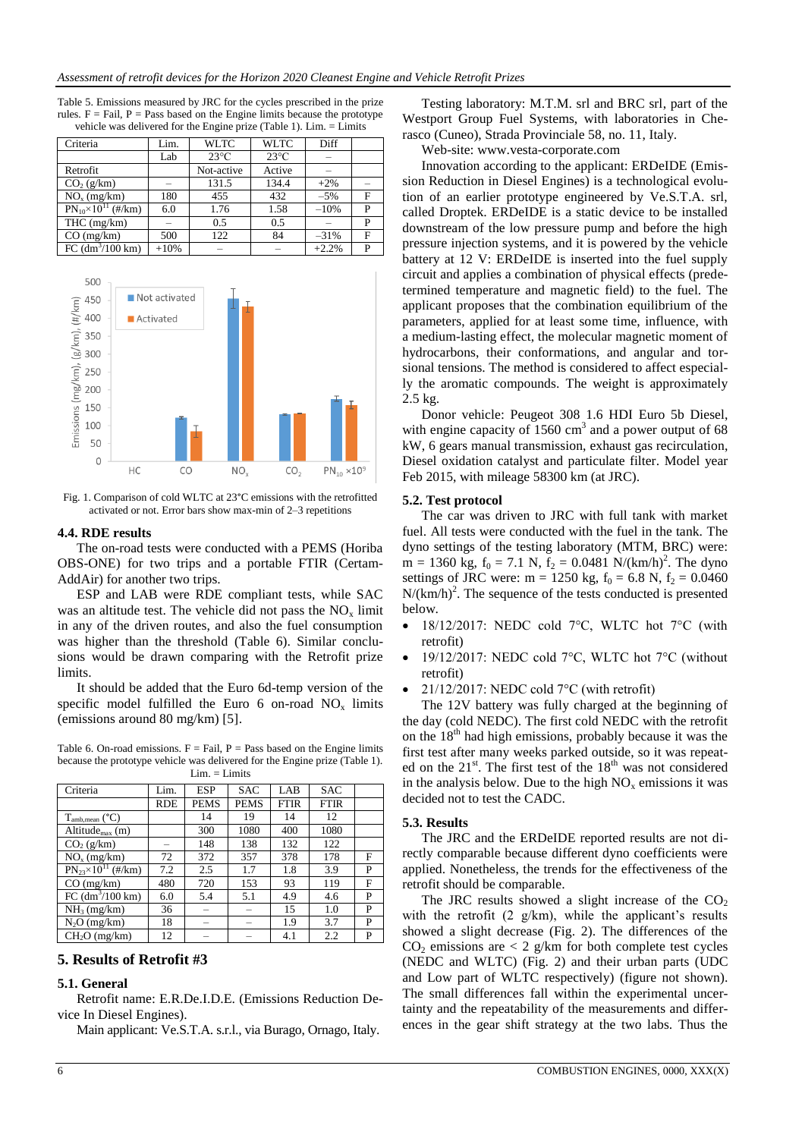| Table 5. Emissions measured by JRC for the cycles prescribed in the prize       |
|---------------------------------------------------------------------------------|
| rules. $F = Fail$ , $P = Pass$ based on the Engine limits because the prototype |
| vehicle was delivered for the Engine prize (Table 1). $Lim = Limits$            |

| Criteria                         | Lim.   | <b>WLTC</b>    | <b>WLTC</b>    | Diff                     |   |
|----------------------------------|--------|----------------|----------------|--------------------------|---|
|                                  | Lab    | $23^{\circ}$ C | $23^{\circ}$ C | -                        |   |
| Retrofit                         |        | Not-active     | Active         |                          |   |
| CO <sub>2</sub> (g/km)           |        | 131.5          | 134.4          | $+2%$                    |   |
| $NOx$ (mg/km)                    | 180    | 455            | 432            | $-5%$                    | F |
| $PN_{10} \times 10^{11}$ (#/km)  | 6.0    | 1.76           | 1.58           | $-10%$                   | P |
| $THC$ (mg/km)                    |        | 0.5            | 0.5            | $\overline{\phantom{a}}$ | P |
| $CO$ (mg/km)                     | 500    | 122            | 84             | $-31%$                   | F |
| FC $\frac{dm^3}{100 \text{ km}}$ | $+10%$ |                |                | $+2.2%$                  | D |



Fig. 1. Comparison of cold WLTC at 23°C emissions with the retrofitted activated or not. Error bars show max-min of 2–3 repetitions

#### **4.4. RDE results**

The on-road tests were conducted with a PEMS (Horiba OBS-ONE) for two trips and a portable FTIR (Certam-AddAir) for another two trips.

ESP and LAB were RDE compliant tests, while SAC was an altitude test. The vehicle did not pass the  $NO<sub>x</sub>$  limit in any of the driven routes, and also the fuel consumption was higher than the threshold (Table 6). Similar conclusions would be drawn comparing with the Retrofit prize limits.

It should be added that the Euro 6d-temp version of the specific model fulfilled the Euro 6 on-road  $NO<sub>x</sub>$  limits (emissions around 80 mg/km) [5].

Table 6. On-road emissions,  $F = Fail$ ,  $P = Pass$  based on the Engine limits because the prototype vehicle was delivered for the Engine prize (Table 1).  $Lim. = Limits$ 

| Criteria                        | Lim. | <b>ESP</b>  | <b>SAC</b>               | LAB  | <b>SAC</b>  |   |
|---------------------------------|------|-------------|--------------------------|------|-------------|---|
|                                 | RDE  | <b>PEMS</b> | <b>PEMS</b>              | FTIR | <b>FTIR</b> |   |
| $T_{amb, mean}$ ( $°C$ )        |      | 14          | 19                       | 14   | 12          |   |
| Altitude $_{max}$ (m)           |      | 300         | 1080                     | 400  | 1080        |   |
| CO <sub>2</sub> (g/km)          | -    | 148         | 138                      | 132  | 122         |   |
| $NOx$ (mg/km)                   | 72   | 372         | 357                      | 378  | 178         | F |
| $PN_{23} \times 10^{11}$ (#/km) | 7.2  | 2.5         | 1.7                      | 1.8  | 3.9         | P |
| $CO$ (mg/km)                    | 480  | 720         | 153                      | 93   | 119         | F |
| FC (dm <sup>3</sup> /100 km)    | 6.0  | 5.4         | 5.1                      | 4.9  | 4.6         | P |
| $NH3$ (mg/km)                   | 36   | -           | $\overline{\phantom{a}}$ | 15   | 1.0         | P |
| $N_2O$ (mg/km)                  | 18   | -           | $\overline{\phantom{a}}$ | 1.9  | 3.7         | P |
| $CH2O$ (mg/km)                  | 12   |             |                          | 4.1  | 2.2         | P |

## **5. Results of Retrofit #3**

## **5.1. General**

Retrofit name: E.R.De.I.D.E. (Emissions Reduction Device In Diesel Engines).

Main applicant: Ve.S.T.A. s.r.l., via Burago, Ornago, Italy.

Testing laboratory: M.T.M. srl and BRC srl, part of the Westport Group Fuel Systems, with laboratories in Cherasco (Cuneo), Strada Provinciale 58, no. 11, Italy.

Web-site: www.vesta-corporate.com

Innovation according to the applicant: ERDeIDE (Emission Reduction in Diesel Engines) is a technological evolution of an earlier prototype engineered by Ve.S.T.A. srl, called Droptek. ERDeIDE is a static device to be installed downstream of the low pressure pump and before the high pressure injection systems, and it is powered by the vehicle battery at 12 V: ERDeIDE is inserted into the fuel supply circuit and applies a combination of physical effects (predetermined temperature and magnetic field) to the fuel. The applicant proposes that the combination equilibrium of the parameters, applied for at least some time, influence, with a medium-lasting effect, the molecular magnetic moment of hydrocarbons, their conformations, and angular and torsional tensions. The method is considered to affect especially the aromatic compounds. The weight is approximately 2.5 kg.

Donor vehicle: Peugeot 308 1.6 HDI Euro 5b Diesel, with engine capacity of  $1560 \text{ cm}^3$  and a power output of 68 kW, 6 gears manual transmission, exhaust gas recirculation, Diesel oxidation catalyst and particulate filter. Model year Feb 2015, with mileage 58300 km (at JRC).

#### **5.2. Test protocol**

The car was driven to JRC with full tank with market fuel. All tests were conducted with the fuel in the tank. The dyno settings of the testing laboratory (MTM, BRC) were:  $m = 1360$  kg,  $f_0 = 7.1$  N,  $f_2 = 0.0481$  N/(km/h)<sup>2</sup>. The dyno settings of JRC were: m = 1250 kg,  $f_0 = 6.8$  N,  $f_2 = 0.0460$  $N/(km/h)^2$ . The sequence of the tests conducted is presented below.

- 18/12/2017: NEDC cold 7°C, WLTC hot 7°C (with retrofit)
- 19/12/2017: NEDC cold 7°C, WLTC hot 7°C (without retrofit)
- 21/12/2017: NEDC cold  $7^{\circ}$ C (with retrofit)

The 12V battery was fully charged at the beginning of the day (cold NEDC). The first cold NEDC with the retrofit on the  $18<sup>th</sup>$  had high emissions, probably because it was the first test after many weeks parked outside, so it was repeated on the  $21^{st}$ . The first test of the  $18^{th}$  was not considered in the analysis below. Due to the high  $NO<sub>x</sub>$  emissions it was decided not to test the CADC.

#### **5.3. Results**

The JRC and the ERDeIDE reported results are not directly comparable because different dyno coefficients were applied. Nonetheless, the trends for the effectiveness of the retrofit should be comparable.

The JRC results showed a slight increase of the  $CO<sub>2</sub>$ with the retrofit  $(2 \text{ g/km})$ , while the applicant's results showed a slight decrease (Fig. 2). The differences of the  $CO<sub>2</sub>$  emissions are  $\lt 2$  g/km for both complete test cycles (NEDC and WLTC) (Fig. 2) and their urban parts (UDC and Low part of WLTC respectively) (figure not shown). The small differences fall within the experimental uncertainty and the repeatability of the measurements and differences in the gear shift strategy at the two labs. Thus the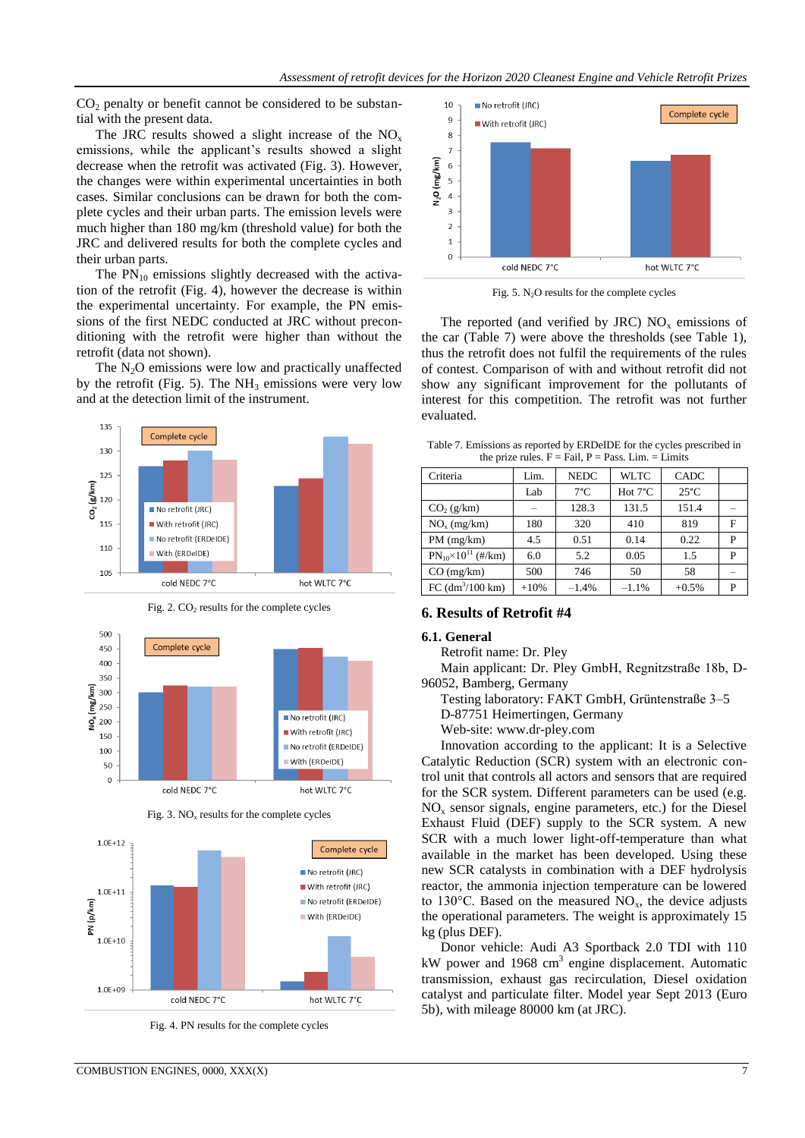$CO<sub>2</sub>$  penalty or benefit cannot be considered to be substantial with the present data.

The JRC results showed a slight increase of the  $NO<sub>x</sub>$ emissions, while the applicant's results showed a slight decrease when the retrofit was activated (Fig. 3). However, the changes were within experimental uncertainties in both cases. Similar conclusions can be drawn for both the complete cycles and their urban parts. The emission levels were much higher than 180 mg/km (threshold value) for both the JRC and delivered results for both the complete cycles and their urban parts.

The  $PN_{10}$  emissions slightly decreased with the activation of the retrofit (Fig. 4), however the decrease is within the experimental uncertainty. For example, the PN emissions of the first NEDC conducted at JRC without preconditioning with the retrofit were higher than without the retrofit (data not shown).

The  $N<sub>2</sub>O$  emissions were low and practically unaffected by the retrofit (Fig. 5). The  $NH_3$  emissions were very low and at the detection limit of the instrument.



Fig.  $2$ .  $CO<sub>2</sub>$  results for the complete cycles



Fig. 3.  $NO<sub>x</sub>$  results for the complete cycles



Fig. 4. PN results for the complete cycles



Fig.  $5. N<sub>2</sub>O$  results for the complete cycles

The reported (and verified by JRC)  $NO<sub>x</sub>$  emissions of the car (Table 7) were above the thresholds (see Table 1), thus the retrofit does not fulfil the requirements of the rules of contest. Comparison of with and without retrofit did not show any significant improvement for the pollutants of interest for this competition. The retrofit was not further evaluated.

Table 7. Emissions as reported by ERDeIDE for the cycles prescribed in the prize rules.  $F = Fail$ ,  $P = Pass$ . Lim. = Limits

| Criteria                                      | Lim.   | <b>NEDC</b>   | <b>WLTC</b>       | <b>CADC</b>    |   |  |  |
|-----------------------------------------------|--------|---------------|-------------------|----------------|---|--|--|
|                                               | Lab    | $7^{\circ}$ C | Hot $7^{\circ}$ C | $25^{\circ}$ C |   |  |  |
| CO <sub>2</sub> (g/km)                        |        | 128.3         | 131.5             | 151.4          |   |  |  |
| $NOx$ (mg/km)                                 | 180    | 320           | 410               | 819            | F |  |  |
| PM (mg/km)                                    | 4.5    | 0.51          | 0.14              | 0.22           | P |  |  |
| $PN_{10}\times 10^{11}$ (#/km)                | 6.0    | 5.2           | 0.05              | 1.5            | P |  |  |
| $CO$ (mg/km)                                  | 500    | 746           | 50                | 58             |   |  |  |
| FC $\left(\frac{dm^3}{100 \text{ km}}\right)$ | $+10%$ | $-1.4%$       | $-1.1%$           | $+0.5%$        | P |  |  |

## **6. Results of Retrofit #4**

#### **6.1. General**

Retrofit name: Dr. Pley

Main applicant: Dr. Pley GmbH, Regnitzstraße 18b, D-96052, Bamberg, Germany

Testing laboratory: FAKT GmbH, Grüntenstraße 3–5

D-87751 Heimertingen, Germany

Web-site: www.dr-pley.com

Innovation according to the applicant: It is a Selective Catalytic Reduction (SCR) system with an electronic control unit that controls all actors and sensors that are required for the SCR system. Different parameters can be used (e.g.  $NO<sub>x</sub>$  sensor signals, engine parameters, etc.) for the Diesel Exhaust Fluid (DEF) supply to the SCR system. A new SCR with a much lower light-off-temperature than what available in the market has been developed. Using these new SCR catalysts in combination with a DEF hydrolysis reactor, the ammonia injection temperature can be lowered to 130 $^{\circ}$ C. Based on the measured NO<sub>x</sub>, the device adjusts the operational parameters. The weight is approximately 15 kg (plus DEF).

Donor vehicle: Audi A3 Sportback 2.0 TDI with 110 kW power and 1968 cm<sup>3</sup> engine displacement. Automatic transmission, exhaust gas recirculation, Diesel oxidation catalyst and particulate filter. Model year Sept 2013 (Euro 5b), with mileage 80000 km (at JRC).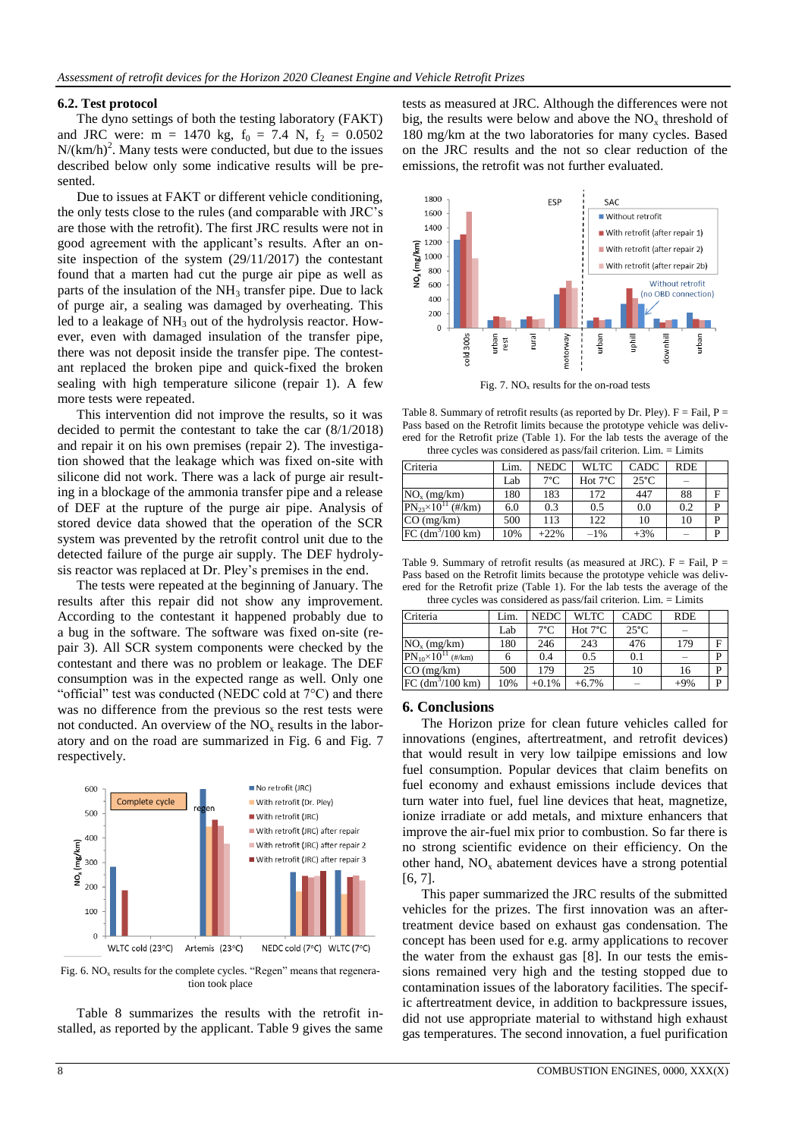#### **6.2. Test protocol**

The dyno settings of both the testing laboratory (FAKT) and JRC were: m = 1470 kg,  $f_0$  = 7.4 N,  $f_2$  = 0.0502  $N/(km/h)^2$ . Many tests were conducted, but due to the issues described below only some indicative results will be presented.

Due to issues at FAKT or different vehicle conditioning, the only tests close to the rules (and comparable with JRC's are those with the retrofit). The first JRC results were not in good agreement with the applicant's results. After an onsite inspection of the system (29/11/2017) the contestant found that a marten had cut the purge air pipe as well as parts of the insulation of the  $NH<sub>3</sub>$  transfer pipe. Due to lack of purge air, a sealing was damaged by overheating. This led to a leakage of  $NH_3$  out of the hydrolysis reactor. However, even with damaged insulation of the transfer pipe, there was not deposit inside the transfer pipe. The contestant replaced the broken pipe and quick-fixed the broken sealing with high temperature silicone (repair 1). A few more tests were repeated.

This intervention did not improve the results, so it was decided to permit the contestant to take the car (8/1/2018) and repair it on his own premises (repair 2). The investigation showed that the leakage which was fixed on-site with silicone did not work. There was a lack of purge air resulting in a blockage of the ammonia transfer pipe and a release of DEF at the rupture of the purge air pipe. Analysis of stored device data showed that the operation of the SCR system was prevented by the retrofit control unit due to the detected failure of the purge air supply. The DEF hydrolysis reactor was replaced at Dr. Pley's premises in the end.

The tests were repeated at the beginning of January. The results after this repair did not show any improvement. According to the contestant it happened probably due to a bug in the software. The software was fixed on-site (repair 3). All SCR system components were checked by the contestant and there was no problem or leakage. The DEF consumption was in the expected range as well. Only one "official" test was conducted (NEDC cold at 7°C) and there was no difference from the previous so the rest tests were not conducted. An overview of the  $NO<sub>x</sub>$  results in the laboratory and on the road are summarized in Fig. 6 and Fig. 7 respectively.



Fig. 6.  $NO<sub>x</sub>$  results for the complete cycles. "Regen" means that regeneration took place

Table 8 summarizes the results with the retrofit installed, as reported by the applicant. Table 9 gives the same

tests as measured at JRC. Although the differences were not big, the results were below and above the  $NO<sub>x</sub>$  threshold of 180 mg/km at the two laboratories for many cycles. Based on the JRC results and the not so clear reduction of the emissions, the retrofit was not further evaluated.



Fig. 7.  $NO<sub>x</sub>$  results for the on-road tests

Table 8. Summary of retrofit results (as reported by Dr. Pley).  $F = Fail$ ,  $P =$ Pass based on the Retrofit limits because the prototype vehicle was delivered for the Retrofit prize (Table 1). For the lab tests the average of the three cycles was considered as pass/fail criterion. Lim. = Limits

| Criteria                        | Lim. | <b>NEDC</b>   | WLTC.             | CADC           | <b>RDE</b> |   |
|---------------------------------|------|---------------|-------------------|----------------|------------|---|
|                                 | Lab  | $7^{\circ}$ C | Hot $7^{\circ}$ C | $25^{\circ}$ C |            |   |
| $NOx$ (mg/km)                   | 180  | 183           | 172               | 447            | 88         | F |
| $PN_{23} \times 10^{11}$ (#/km) | 6.0  | 0.3           | 0.5               | 0.0            | 0.2        | D |
| $CO$ (mg/km)                    | 500  | 113           | 122               | 10             | 10         | D |
| $FC (dm^3/100 km)$              | 10%  | $+22%$        | $-1\%$            | $+3%$          |            | D |

Table 9. Summary of retrofit results (as measured at JRC).  $F = Fail$ ,  $P =$ Pass based on the Retrofit limits because the prototype vehicle was delivered for the Retrofit prize (Table 1). For the lab tests the average of the three cycles was considered as pass/fail criterion. Lim. = Limits

| $\mu$ and $\mu$ and $\mu$ and $\mu$ and $\mu$ and $\mu$ and $\mu$ and $\mu$ and $\mu$ and $\mu$ and $\mu$ and $\mu$ and $\mu$ and $\mu$ and $\mu$ and $\mu$ and $\mu$ and $\mu$ and $\mu$ and $\mu$ and $\mu$ and $\mu$ and $\mu$ and $\mu$ and $\mu$ |      |               |                   |                |            |   |  |
|-------------------------------------------------------------------------------------------------------------------------------------------------------------------------------------------------------------------------------------------------------|------|---------------|-------------------|----------------|------------|---|--|
| Criteria                                                                                                                                                                                                                                              | Lim. | <b>NEDC</b>   | WLTC.             | <b>CADC</b>    | <b>RDE</b> |   |  |
|                                                                                                                                                                                                                                                       | Lab  | $7^{\circ}$ C | Hot $7^{\circ}$ C | $25^{\circ}$ C |            |   |  |
| $NOx$ (mg/km)                                                                                                                                                                                                                                         | 180  | 246           | 243               | 476            | 179        | F |  |
| $PN_{10}\times 10^{11}$<br>$(\frac{\text{#}}{\text{km}})$                                                                                                                                                                                             |      | 0.4           | 0.5               | 0.1            |            | P |  |
| $CO$ (mg/km)                                                                                                                                                                                                                                          | 500  | 179           | 25                | 10             | 16         | P |  |
| FC (dm <sup>3</sup> /100 km)                                                                                                                                                                                                                          | 10%  | $+0.1%$       | $+6.7%$           |                | $+9%$      | D |  |

## **6. Conclusions**

The Horizon prize for clean future vehicles called for innovations (engines, aftertreatment, and retrofit devices) that would result in very low tailpipe emissions and low fuel consumption. Popular devices that claim benefits on fuel economy and exhaust emissions include devices that turn water into fuel, fuel line devices that heat, magnetize, ionize irradiate or add metals, and mixture enhancers that improve the air-fuel mix prior to combustion. So far there is no strong scientific evidence on their efficiency. On the other hand,  $NO<sub>x</sub>$  abatement devices have a strong potential [6, 7].

This paper summarized the JRC results of the submitted vehicles for the prizes. The first innovation was an aftertreatment device based on exhaust gas condensation. The concept has been used for e.g. army applications to recover the water from the exhaust gas [8]. In our tests the emissions remained very high and the testing stopped due to contamination issues of the laboratory facilities. The specific aftertreatment device, in addition to backpressure issues, did not use appropriate material to withstand high exhaust gas temperatures. The second innovation, a fuel purification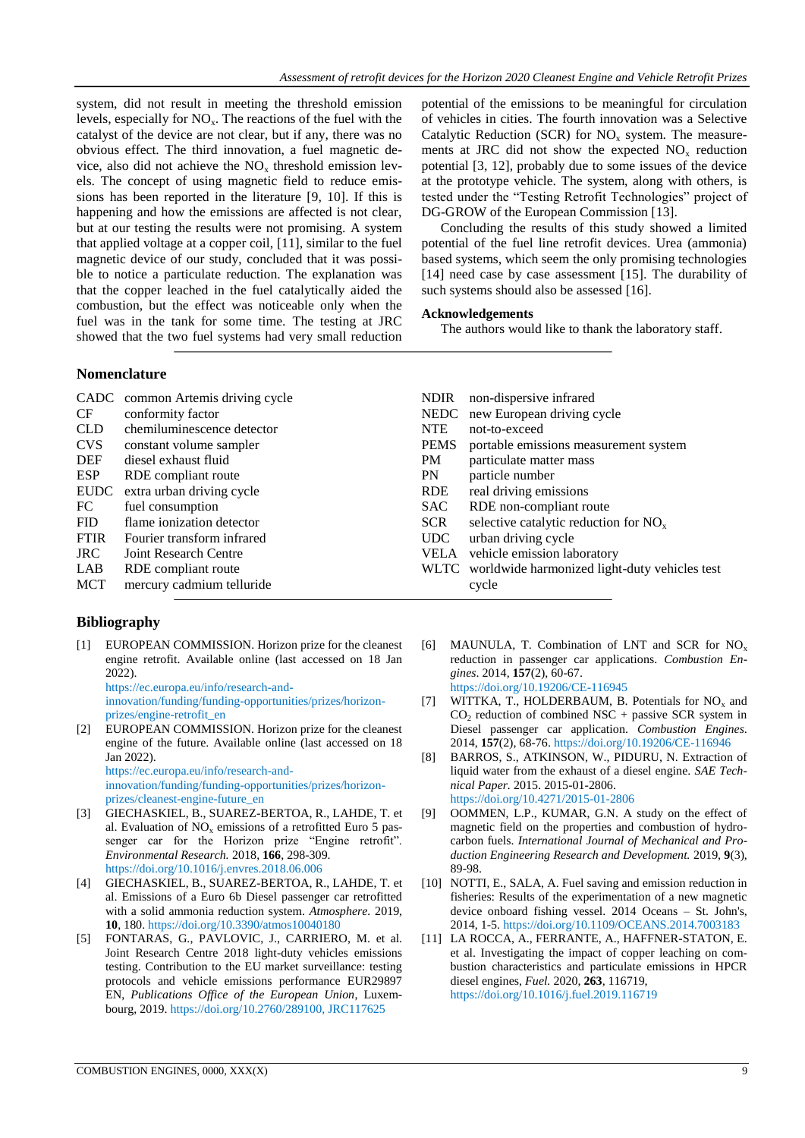system, did not result in meeting the threshold emission levels, especially for  $NO<sub>x</sub>$ . The reactions of the fuel with the catalyst of the device are not clear, but if any, there was no obvious effect. The third innovation, a fuel magnetic device, also did not achieve the  $NO<sub>x</sub>$  threshold emission levels. The concept of using magnetic field to reduce emissions has been reported in the literature [9, 10]. If this is happening and how the emissions are affected is not clear, but at our testing the results were not promising. A system that applied voltage at a copper coil, [11], similar to the fuel magnetic device of our study, concluded that it was possible to notice a particulate reduction. The explanation was that the copper leached in the fuel catalytically aided the combustion, but the effect was noticeable only when the fuel was in the tank for some time. The testing at JRC showed that the two fuel systems had very small reduction potential of the emissions to be meaningful for circulation of vehicles in cities. The fourth innovation was a Selective Catalytic Reduction (SCR) for  $NO<sub>x</sub>$  system. The measurements at JRC did not show the expected  $NO<sub>x</sub>$  reduction potential [3, 12], probably due to some issues of the device at the prototype vehicle. The system, along with others, is tested under the "Testing Retrofit Technologies" project of DG-GROW of the European Commission [13].

Concluding the results of this study showed a limited potential of the fuel line retrofit devices. Urea (ammonia) based systems, which seem the only promising technologies [14] need case by case assessment [15]. The durability of such systems should also be assessed [16].

## **Acknowledgements**

The authors would like to thank the laboratory staff.

## **Nomenclature**

|             | CADC common Artemis driving cycle | <b>NDIR</b> | non-dispersive infrared                            |
|-------------|-----------------------------------|-------------|----------------------------------------------------|
| CF.         | conformity factor                 | <b>NEDC</b> | new European driving cycle                         |
| <b>CLD</b>  | chemiluminescence detector        | <b>NTE</b>  | not-to-exceed                                      |
| <b>CVS</b>  | constant volume sampler           | PEMS        | portable emissions measurement system              |
| DEF         | diesel exhaust fluid              | PM          | particulate matter mass                            |
| ESP         | RDE compliant route               | <b>PN</b>   | particle number                                    |
| EUDC        | extra urban driving cycle         | <b>RDE</b>  | real driving emissions                             |
| FC          | fuel consumption                  | SAC.        | RDE non-compliant route                            |
| <b>FID</b>  | flame ionization detector         | <b>SCR</b>  | selective catalytic reduction for $NOx$            |
| <b>FTIR</b> | Fourier transform infrared        | UDC         | urban driving cycle                                |
| JRC .       | Joint Research Centre             | VELA        | vehicle emission laboratory                        |
| LAB         | RDE compliant route               |             | WLTC worldwide harmonized light-duty vehicles test |
| <b>MCT</b>  | mercury cadmium telluride         |             | cycle                                              |
|             |                                   |             |                                                    |

# **Bibliography**

[1] EUROPEAN COMMISSION. Horizon prize for the cleanest engine retrofit. Available online (last accessed on 18 Jan 2022).

[https://ec.europa.eu/info/research-and](https://ec.europa.eu/info/research-and-innovation/funding/funding-opportunities/prizes/horizon-prizes/engine-retrofit_en)[innovation/funding/funding-opportunities/prizes/horizon](https://ec.europa.eu/info/research-and-innovation/funding/funding-opportunities/prizes/horizon-prizes/engine-retrofit_en)[prizes/engine-retrofit\\_en](https://ec.europa.eu/info/research-and-innovation/funding/funding-opportunities/prizes/horizon-prizes/engine-retrofit_en)

[2] EUROPEAN COMMISSION. Horizon prize for the cleanest engine of the future. Available online (last accessed on 18 Jan 2022). [https://ec.europa.eu/info/research-and-](https://ec.europa.eu/info/research-and-innovation/funding/funding-opportunities/prizes/horizon-prizes/cleanest-engine-future_en)

[innovation/funding/funding-opportunities/prizes/horizon](https://ec.europa.eu/info/research-and-innovation/funding/funding-opportunities/prizes/horizon-prizes/cleanest-engine-future_en)[prizes/cleanest-engine-future\\_en](https://ec.europa.eu/info/research-and-innovation/funding/funding-opportunities/prizes/horizon-prizes/cleanest-engine-future_en)

- [3] GIECHASKIEL, B., SUAREZ-BERTOA, R., LAHDE, T. et al. Evaluation of  $NO<sub>x</sub>$  emissions of a retrofitted Euro 5 passenger car for the Horizon prize "Engine retrofit". *Environmental Research.* 2018, **166**, 298-309. <https://doi.org/10.1016/j.envres.2018.06.006>
- [4] GIECHASKIEL, B., SUAREZ-BERTOA, R., LAHDE, T. et al. Emissions of a Euro 6b Diesel passenger car retrofitted with a solid ammonia reduction system. *Atmosphere.* 2019, **10**, 180[. https://doi.org/10.3390/atmos10040180](https://doi.org/10.3390/atmos10040180)
- [5] FONTARAS, G., PAVLOVIC, J., CARRIERO, M. et al. Joint Research Centre 2018 light-duty vehicles emissions testing. Contribution to the EU market surveillance: testing protocols and vehicle emissions performance EUR29897 EN, *Publications Office of the European Union*, Luxembourg, 2019. https://doi.org/10.2760/289100, JRC117625
- [6] MAUNULA, T. Combination of LNT and SCR for  $NO<sub>x</sub>$ reduction in passenger car applications. *Combustion Engines*. 2014, **157**(2), 60-67. <https://doi.org/10.19206/CE-116945>
- [7] WITTKA, T., HOLDERBAUM, B. Potentials for  $NO<sub>x</sub>$  and  $CO<sub>2</sub>$  reduction of combined NSC + passive SCR system in Diesel passenger car application. *Combustion Engines*. 2014, **157**(2), 68-76[. https://doi.org/10.19206/CE-116946](https://doi.org/10.19206/CE-116946)
- [8] BARROS, S., ATKINSON, W., PIDURU, N. Extraction of liquid water from the exhaust of a diesel engine. *SAE Technical Paper.* 2015. 2015-01-2806. <https://doi.org/10.4271/2015-01-2806>
- [9] OOMMEN, L.P., KUMAR, G.N. A study on the effect of magnetic field on the properties and combustion of hydrocarbon fuels. *International Journal of Mechanical and Production Engineering Research and Development.* 2019, **9**(3), 89-98.
- [10] NOTTI, E., SALA, A. Fuel saving and emission reduction in fisheries: Results of the experimentation of a new magnetic device onboard fishing vessel. 2014 Oceans – St. John's, 2014, 1-5. <https://doi.org/10.1109/OCEANS.2014.7003183>
- [11] LA ROCCA, A., FERRANTE, A., HAFFNER-STATON, E. et al. Investigating the impact of copper leaching on combustion characteristics and particulate emissions in HPCR diesel engines, *Fuel.* 2020, **263**, 116719, <https://doi.org/10.1016/j.fuel.2019.116719>